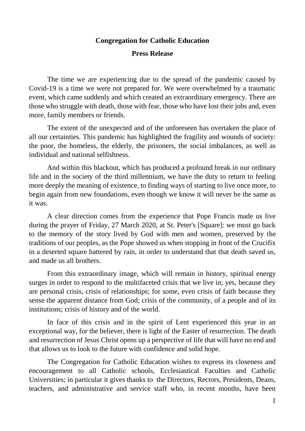## **Congregation for Catholic Education**

## **Press Release**

The time we are experiencing due to the spread of the pandemic caused by Covid-19 is a time we were not prepared for. We were overwhelmed by a traumatic event, which came suddenly and which created an extraordinary emergency. There are those who struggle with death, those with fear, those who have lost their jobs and, even more, family members or friends.

The extent of the unexpected and of the unforeseen has overtaken the place of all our certainties. This pandemic has highlighted the fragility and wounds of society: the poor, the homeless, the elderly, the prisoners, the social imbalances, as well as individual and national selfishness.

And within this blackout, which has produced a profound break in our ordinary life and in the society of the third millennium, we have the duty to return to feeling more deeply the meaning of existence, to finding ways of starting to live once more, to begin again from new foundations, even though we know it will never be the same as it was.

A clear direction comes from the experience that Pope Francis made us live during the prayer of Friday, 27 March 2020, at St. Peter's [Square]: we must go back to the memory of the story lived by God with men and women, preserved by the traditions of our peoples, as the Pope showed us when stopping in front of the Crucifix in a deserted square battered by rain, in order to understand that that death saved us, and made us all brothers.

From this extraordinary image, which will remain in history, spiritual energy surges in order to respond to the multifaceted crisis that we live in; yes, because they are personal crisis, crisis of relationships; for some, even crisis of faith because they sense the apparent distance from God; crisis of the community, of a people and of its institutions; crisis of history and of the world.

In face of this crisis and in the spirit of Lent experienced this year in an exceptional way, for the believer, there is light of the Easter of resurrection. The death and resurrection of Jesus Christ opens up a perspective of life that will have no end and that allows us to look to the future with confidence and solid hope.

The Congregation for Catholic Education wishes to express its closeness and encouragement to all Catholic schools, Ecclesiastical Faculties and Catholic Universities; in particular it gives thanks to the Directors, Rectors, Presidents, Deans, teachers, and administrative and service staff who, in recent months, have been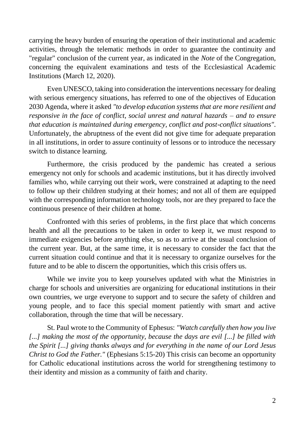carrying the heavy burden of ensuring the operation of their institutional and academic activities, through the telematic methods in order to guarantee the continuity and "regular" conclusion of the current year, as indicated in the *Note* of the Congregation, concerning the equivalent examinations and tests of the Ecclesiastical Academic Institutions (March 12, 2020).

Even UNESCO, taking into consideration the interventions necessary for dealing with serious emergency situations, has referred to one of the objectives of Education 2030 Agenda, where it asked *"to develop education systems that are more resilient and responsive in the face of conflict, social unrest and natural hazards – and to ensure that education is maintained during emergency, conflict and post-conflict situations"*. Unfortunately, the abruptness of the event did not give time for adequate preparation in all institutions, in order to assure continuity of lessons or to introduce the necessary switch to distance learning.

Furthermore, the crisis produced by the pandemic has created a serious emergency not only for schools and academic institutions, but it has directly involved families who, while carrying out their work, were constrained at adapting to the need to follow up their children studying at their homes; and not all of them are equipped with the corresponding information technology tools, nor are they prepared to face the continuous presence of their children at home.

Confronted with this series of problems, in the first place that which concerns health and all the precautions to be taken in order to keep it, we must respond to immediate exigencies before anything else, so as to arrive at the usual conclusion of the current year. But, at the same time, it is necessary to consider the fact that the current situation could continue and that it is necessary to organize ourselves for the future and to be able to discern the opportunities, which this crisis offers us.

While we invite you to keep yourselves updated with what the Ministries in charge for schools and universities are organizing for educational institutions in their own countries, we urge everyone to support and to secure the safety of children and young people, and to face this special moment patiently with smart and active collaboration, through the time that will be necessary.

St. Paul wrote to the Community of Ephesus: *"Watch carefully then how you live [...] making the most of the opportunity, because the days are evil [...] be filled with the Spirit [...] giving thanks always and for everything in the name of our Lord Jesus Christ to God the Father.*" (Ephesians 5:15-20) This crisis can become an opportunity for Catholic educational institutions across the world for strengthening testimony to their identity and mission as a community of faith and charity.